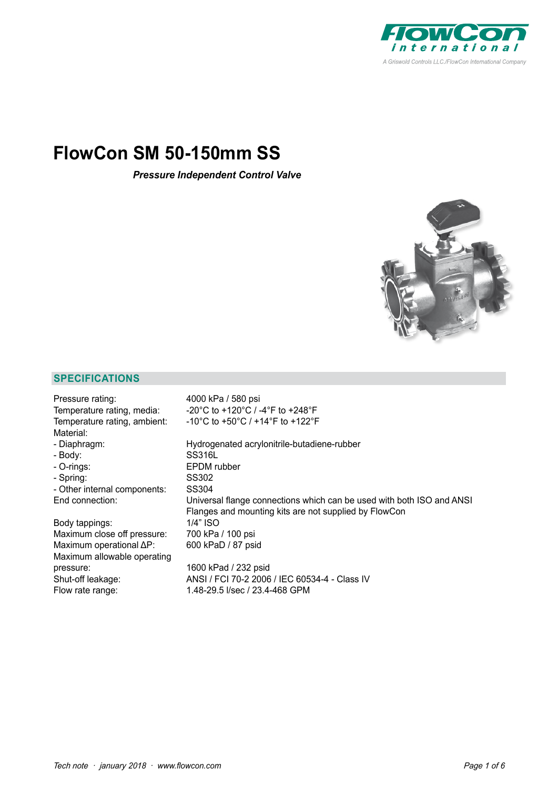

# **FlowCon SM 50-150mm SS**

*Pressure Independent Control Valve*



# **SPECIFICATIONS**

| Pressure rating:                 | 4000 kPa / 580 psi                                                                                                             |
|----------------------------------|--------------------------------------------------------------------------------------------------------------------------------|
| Temperature rating, media:       | -20°C to +120°C / -4°F to +248°F                                                                                               |
| Temperature rating, ambient:     | $-10^{\circ}$ C to +50 $^{\circ}$ C / +14 $^{\circ}$ F to +122 $^{\circ}$ F                                                    |
| Material:                        |                                                                                                                                |
| - Diaphragm:                     | Hydrogenated acrylonitrile-butadiene-rubber                                                                                    |
| - Body:                          | SS316L                                                                                                                         |
| - O-rings:                       | <b>EPDM</b> rubber                                                                                                             |
| - Spring:                        | SS302                                                                                                                          |
| - Other internal components:     | SS304                                                                                                                          |
| End connection:                  | Universal flange connections which can be used with both ISO and ANSI<br>Flanges and mounting kits are not supplied by FlowCon |
| Body tappings:                   | 1/4" ISO                                                                                                                       |
| Maximum close off pressure:      | 700 kPa / 100 psi                                                                                                              |
| Maximum operational $\Delta P$ : | 600 kPaD / 87 psid                                                                                                             |
| Maximum allowable operating      |                                                                                                                                |
| pressure:                        | 1600 kPad / 232 psid                                                                                                           |
| Shut-off leakage:                | ANSI / FCI 70-2 2006 / IEC 60534-4 - Class IV                                                                                  |
| Flow rate range:                 | 1.48-29.5 I/sec / 23.4-468 GPM                                                                                                 |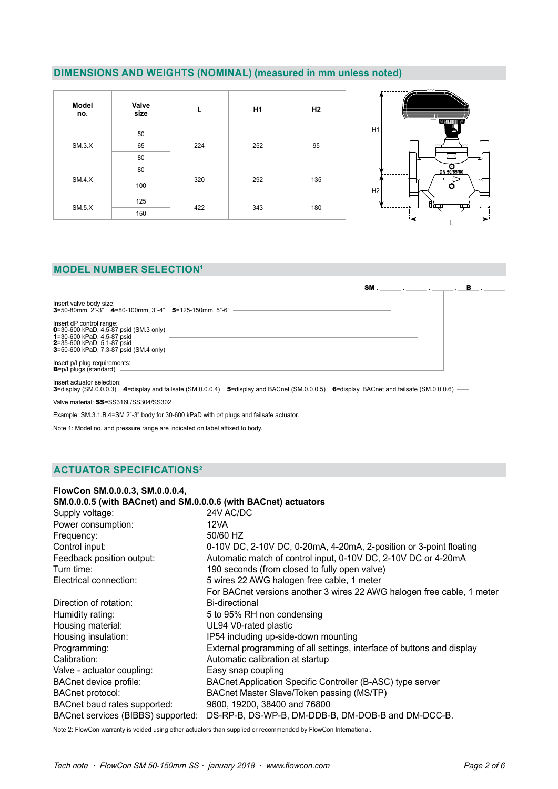# **DIMENSIONS AND WEIGHTS (NOMINAL) (measured in mm unless noted)**

| Model<br>no. | Valve<br>size |     | H <sub>1</sub> | H <sub>2</sub> |  |  |
|--------------|---------------|-----|----------------|----------------|--|--|
|              | 50            |     |                |                |  |  |
| SM.3.X       | 65            | 224 | 252            | 95             |  |  |
|              | 80            |     |                |                |  |  |
|              | 80            |     |                |                |  |  |
| SM.4.X       | 100           | 320 | 292            | 135            |  |  |
| SM.5.X       | 125           | 422 | 343            | 180            |  |  |
|              | 150           |     |                |                |  |  |



## **MODEL NUMBER SELECTION1**

|                                                                                                                                                                                  |                                                                                                                                            | SM. | в |
|----------------------------------------------------------------------------------------------------------------------------------------------------------------------------------|--------------------------------------------------------------------------------------------------------------------------------------------|-----|---|
| Insert valve body size:<br><b>3</b> =50-80mm, 2"-3" <b>4</b> =80-100mm, 3"-4" <b>5</b> =125-150mm, 5"-6"                                                                         |                                                                                                                                            |     |   |
| Insert dP control range:<br><b>0</b> =30-600 kPaD, 4.5-87 psid (SM.3 only)<br>1=30-600 kPaD, 4.5-87 psid<br>2=35-600 kPaD, 5.1-87 psid<br>3=50-600 kPaD, 7.3-87 psid (SM.4 only) |                                                                                                                                            |     |   |
| Insert p/t plug requirements:<br><b>B</b> =p/t plugs (standard)                                                                                                                  |                                                                                                                                            |     |   |
| Insert actuator selection:                                                                                                                                                       | 3=display (SM.0.0.0.3) 4=display and failsafe (SM.0.0.0.4) 5=display and BACnet (SM.0.0.0.5) 6=display, BACnet and failsafe (SM.0.0.0.6) - |     |   |
| Valve material: SS=SS316L/SS304/SS302                                                                                                                                            |                                                                                                                                            |     |   |

Example: SM.3.1.B.4=SM 2"-3" body for 30-600 kPaD with p/t plugs and failsafe actuator.

Note 1: Model no. and pressure range are indicated on label affixed to body.

# **ACTUATOR SPECIFICATIONS2**

| FlowCon SM.0.0.0.3, SM.0.0.0.4,<br>SM.0.0.0.5 (with BACnet) and SM.0.0.0.6 (with BACnet) actuators |                                                                        |
|----------------------------------------------------------------------------------------------------|------------------------------------------------------------------------|
| Supply voltage:                                                                                    | 24V AC/DC                                                              |
| Power consumption:                                                                                 | 12VA                                                                   |
| Frequency:                                                                                         | 50/60 HZ                                                               |
| Control input:                                                                                     | 0-10V DC, 2-10V DC, 0-20mA, 4-20mA, 2-position or 3-point floating     |
| Feedback position output:                                                                          | Automatic match of control input, 0-10V DC, 2-10V DC or 4-20mA         |
| Turn time:                                                                                         | 190 seconds (from closed to fully open valve)                          |
| Electrical connection:                                                                             | 5 wires 22 AWG halogen free cable, 1 meter                             |
|                                                                                                    | For BACnet versions another 3 wires 22 AWG halogen free cable, 1 meter |
| Direction of rotation:                                                                             | Bi-directional                                                         |
| Humidity rating:                                                                                   | 5 to 95% RH non condensing                                             |
| Housing material:                                                                                  | UL94 V0-rated plastic                                                  |
| Housing insulation:                                                                                | IP54 including up-side-down mounting                                   |
| Programming:                                                                                       | External programming of all settings, interface of buttons and display |
| Calibration:                                                                                       | Automatic calibration at startup                                       |
| Valve - actuator coupling:                                                                         | Easy snap coupling                                                     |
| BACnet device profile:                                                                             | BACnet Application Specific Controller (B-ASC) type server             |
| <b>BACnet protocol:</b>                                                                            | BACnet Master Slave/Token passing (MS/TP)                              |
| BACnet baud rates supported:                                                                       | 9600, 19200, 38400 and 76800                                           |
| BACnet services (BIBBS) supported:                                                                 | DS-RP-B, DS-WP-B, DM-DDB-B, DM-DOB-B and DM-DCC-B.                     |

Note 2: FlowCon warranty is voided using other actuators than supplied or recommended by FlowCon International.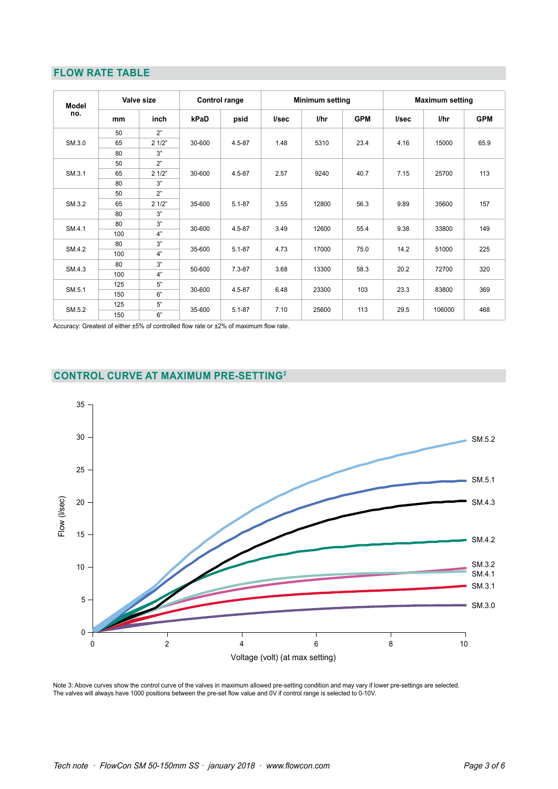## **FLOW RATE TABLE**

| Model  |     | Valve size   |            | Control range |       | <b>Minimum setting</b> |            | <b>Maximum setting</b> |        |            |  |  |  |
|--------|-----|--------------|------------|---------------|-------|------------------------|------------|------------------------|--------|------------|--|--|--|
| no.    | mm  | inch         | kPaD       | psid          | l/sec | l/hr                   | <b>GPM</b> | l/sec                  | l/hr   | <b>GPM</b> |  |  |  |
|        | 50  | 2"           |            |               |       |                        |            |                        |        |            |  |  |  |
| SM.3.0 | 65  | 21/2"        | 30-600     | 4.5-87        | 1.48  | 5310                   | 23.4       | 4.16                   | 15000  | 65.9       |  |  |  |
|        | 80  | 3"           |            |               |       |                        |            |                        |        |            |  |  |  |
|        | 50  | 2"           |            | $4.5 - 87$    | 2.57  |                        | 40.7       | 7.15                   | 25700  |            |  |  |  |
| SM.3.1 | 65  | 21/2"        | 30-600     |               |       | 9240                   |            |                        |        | 113        |  |  |  |
|        | 80  | 3"           |            |               |       |                        |            |                        |        |            |  |  |  |
|        | 50  | 2"           |            | $5.1 - 87$    |       |                        |            |                        |        |            |  |  |  |
| SM.3.2 | 65  | 21/2"        | 35-600     |               | 3.55  | 12800                  | 56.3       | 9.89                   | 35600  | 157        |  |  |  |
|        | 80  | 3"           |            |               |       |                        |            |                        |        |            |  |  |  |
|        | 80  | 3"           |            |               |       |                        |            |                        |        |            |  |  |  |
| SM.4.1 | 100 | 4"           | 30-600     | 4.5-87        | 3.49  | 12600                  | 55.4       | 9.38                   | 33800  | 149        |  |  |  |
|        | 80  | 3"           |            |               |       |                        |            |                        |        |            |  |  |  |
| SM.4.2 | 100 | 4"           | 35-600     | $5.1 - 87$    | 4.73  | 17000                  | 75.0       | 14.2                   | 51000  | 225        |  |  |  |
|        | 80  | 3"           |            |               |       |                        |            |                        |        |            |  |  |  |
| SM.4.3 | 100 | 4"           | 50-600     | $7.3 - 87$    | 3.68  | 13300                  | 58.3       | 20.2                   | 72700  | 320        |  |  |  |
|        | 125 | 5"           |            |               |       |                        |            |                        |        |            |  |  |  |
| SM.5.1 | 150 | 30-600<br>6" | $4.5 - 87$ | 6.48          | 23300 | 103                    | 23.3       | 83800                  | 369    |            |  |  |  |
|        | 125 | 5"           |            |               |       |                        |            |                        |        |            |  |  |  |
| SM.5.2 | 150 | 6"           | 35-600     | $5.1 - 87$    | 7.10  | 25600                  | 113        | 29.5                   | 106000 | 468        |  |  |  |

Accuracy: Greatest of either ±5% of controlled flow rate or ±2% of maximum flow rate.

# **CONTROL CURVE AT MAXIMUM PRE-SETTING3**



Note 3: Above curves show the control curve of the valves in maximum allowed pre-setting condition and may vary if lower pre-settings are selected. The valves will always have 1000 positions between the pre-set flow value and 0V if control range is selected to 0-10V.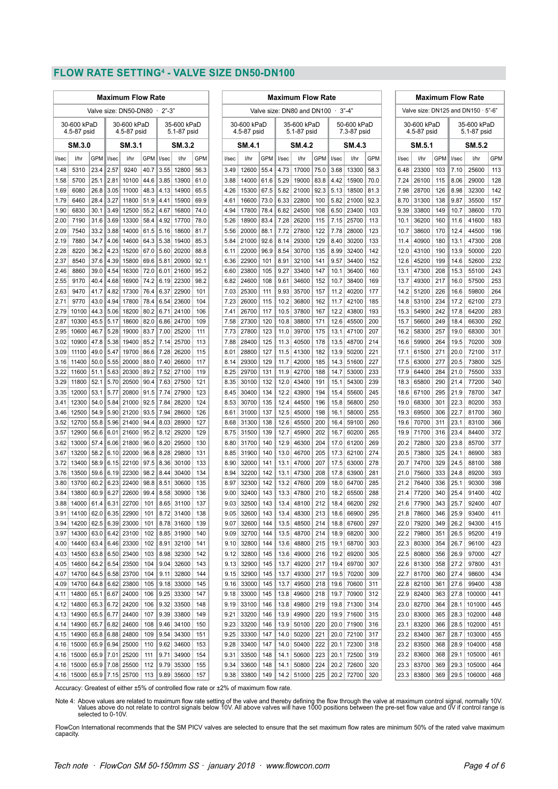#### **FLOW RATE SETTING4 - VALVE SIZE DN50-DN100**

|                                  | <b>Maximum Flow Rate</b>           |              |              |                            |              |                            |                | <b>Maximum Flow Rate</b> |              |                            |            |              |                            |            |              |                            | <b>Maximum Flow Rate</b> |                            |                                           |            |                            |                     |            |
|----------------------------------|------------------------------------|--------------|--------------|----------------------------|--------------|----------------------------|----------------|--------------------------|--------------|----------------------------|------------|--------------|----------------------------|------------|--------------|----------------------------|--------------------------|----------------------------|-------------------------------------------|------------|----------------------------|---------------------|------------|
| Valve size: DN50-DN80<br>$2 - 3$ |                                    |              |              |                            |              |                            |                |                          |              | Valve size: DN80 and DN100 |            |              | $3" - 4"$                  |            |              |                            |                          |                            | Valve size: DN125 and DN150 $\cdot$ 5"-6" |            |                            |                     |            |
|                                  | 30-600 kPaD<br>4.5-87 psid         |              |              | 30-600 kPaD<br>4.5-87 psid |              | 35-600 kPaD<br>5.1-87 psid |                |                          |              | 30-600 kPaD<br>4.5-87 psid |            |              | 35-600 kPaD<br>5.1-87 psid |            |              | 50-600 kPaD<br>7.3-87 psid |                          | 30-600 kPaD<br>4.5-87 psid |                                           |            | 35-600 kPaD<br>5.1-87 psid |                     |            |
|                                  | SM 3.0                             |              |              | SM 3.1                     |              |                            | SM 3.2         |                          |              | SM.4.1                     |            |              | <b>SM.4.2</b>              |            |              | SM 4.3                     |                          |                            | SM 5.1                                    |            |                            | SM 5.2              |            |
| l/sec                            | l/hr                               | <b>GPM</b>   | l/sec        | l/hr                       | GPM          | I/sec                      | l/hr           | GPM                      | l/sec        | l/hr                       | GPM        | I/sec        | 1/hr                       | GPM        | I/sec        | l/hr                       | <b>GPM</b>               | I/sec                      | l/hr                                      | <b>GPM</b> | l/sec                      | l/hr                | <b>GPM</b> |
| 1.48                             | 5310                               | 23.4         | 2.57         | 9240                       | 40.7         | 3.55                       | 12800          | 56.3                     | 3.49         | 12600                      | 55.4       | 4.73         | 17000                      | 75.0       | 3.68         | 13300                      | 58.3                     | 6.48                       | 23300                                     | 103        | 7.10                       | 25600               | 113        |
| 1.58                             | 5700                               | 25.1         | 2.81         | 10100                      | 44.6         | 3.85                       | 13900          | 61.0                     | 3.88         | 14000                      | 61.6       | 5.29         | 19000                      | 83.8       | 4.42         | 15900                      | 70.0                     | 7.24                       | 26100                                     | 115        | 8.06                       | 29000               | 128        |
| 1.69                             | 6080                               | 26.8         | 3.05         | 11000                      | 48.3         | 4.13                       | 14900          | 65.5                     | 4.26         | 15300                      | 67.5       | 5.82         | 21000                      | 92.3       | 5.13         | 18500                      | 81.3                     | 7.98                       | 28700                                     | 126        | 8.98                       | 32300               | 142        |
| 1.79                             | 6460                               | 28.4         | 3.27         | 11800                      | 51.9         | 4.41                       | 15900          | 69.9                     | 4.61         | 16600                      | 73.0       | 6.33         | 22800                      | 100        | 5.82         | 21000                      | 92.3                     | 8.70                       | 31300                                     | 138        | 9.87                       | 35500               | 157        |
| 1.90                             | 6830                               | 30.1         | 3.49         | 12500                      | 55.2         | 4.67                       | 16800          | 74.0                     | 4.94         | 17800                      | 78.4       | 6.82         | 24500                      | 108        | 6.50         | 23400                      | 103                      | 9.39                       | 33800                                     | 149        | 10.7                       | 38600               | 170        |
| 2.00                             | 7190                               | 31.6         | 3.69         | 13300                      | 58.4         | 4.92                       | 17700          | 78.0                     | 5.26         | 18900                      | 83.4       | 7.28         | 26200                      | 115        | 7.15         | 25700                      | 113                      | 10.1                       | 36200                                     | 160        | 11.6                       | 41600               | 183        |
| 2.09                             | 7540                               | 33.2         | 3.88         | 14000                      | 61.5         | 5.16                       | 18600          | 81.7                     | 5.56         | 20000                      | 88.1       | 7.72         | 27800                      | 122        | 7.78         | 28000                      | 123                      | 10.7                       | 38600                                     | 170        | 12.4                       | 44500               | 196        |
| 2.19                             | 7880                               | 34.7         | 4.06         | 14600                      | 64.3         | 5.38                       | 19400          | 85.3                     | 5.84         | 21000                      | 92.6       | 8.14         | 29300                      | 129        | 8.40         | 30200                      | 133                      | 11.4                       | 40900                                     | 180        | 13.1                       | 47300               | 208        |
| 2.28                             | 8220                               | 36.2         | 4.23         | 15200                      | 67.0         | 5.60                       | 20200          | 88.8                     | 6.11         | 22000                      | 96.9       | 8.54         | 30700                      | 135        | 8.99         | 32400                      | 142                      | 12.0                       | 43100                                     | 190        | 13.9                       | 50000               | 220        |
| 2.37                             | 8540                               | 37.6         | 4.39         | 15800                      | 69.6         | 5.81                       | 20900          | 92.1                     | 6.36         | 22900                      | 101        | 8.91         | 32100                      | 141        | 9.57         | 34400                      | 152                      | 12.6                       | 45200                                     | 199        | 14.6                       | 52600               | 232        |
| 2.46<br>2.55                     | 8860                               | 39.0<br>40.4 | 4.54         | 16300<br>16900             | 72.0<br>74.2 | 6.01<br>6.19               | 21600          | 95.2<br>98.2             | 6.60         | 23800                      | 105<br>108 | 9.27<br>9.61 | 33400<br>34600             | 147<br>152 | 10.1         | 36400                      | 160                      | 13.1                       | 47300                                     | 208        | 15.3                       | 55100               | 243<br>253 |
| 2.63                             | 9170<br>9470                       | 41.7         | 4.68<br>4.82 | 17300                      | 76.4         | 6.37                       | 22300<br>22900 | 101                      | 6.82<br>7.03 | 24600<br>25300             | 111        | 9.93         | 35700                      | 157        | 10.7<br>11.2 | 38400<br>40200             | 169<br>177               | 13.7<br>14.2               | 49300<br>51200                            | 217<br>226 | 16.0<br>16.6               | 57500<br>59800      | 264        |
| 2.71                             | 9770                               | 43.0         | 4.94         | 17800                      | 78.4         | 6.54                       | 23600          | 104                      | 7.23         | 26000                      | 115        | 10.2         | 36800                      | 162        | 11.7         | 42100                      | 185                      | 14.8                       | 53100                                     | 234        | 17.2                       | 62100               | 273        |
| 2.79                             | 10100                              | 44.3         | 5.06         | 18200                      | 80.2         | 6.71                       | 24100          | 106                      | 7.41         | 26700                      | 117        | 10.5         | 37800                      | 167        | 12.2         | 43800                      | 193                      | 15.3                       | 54900                                     | 242        | 17.8                       | 64200               | 283        |
| 2.87                             | 10300                              | 45.5         | 5.17         | 18600                      | 82.0         | 6.86                       | 24700          | 109                      | 7.58         | 27300                      | 120        | 10.8         | 38800                      | 171        | 12.6         | 45500                      | 200                      | 15.7                       | 56600                                     | 249        | 18.4                       | 66300               | 292        |
| 2.95                             | 10600                              | 46.7         | 5.28         | 19000                      | 83.7         | 7.00                       | 25200          | 111                      | 7.73         | 27800                      | 123        | 11.0         | 39700                      | 175        | 13.1         | 47100                      | 207                      | 16.2                       | 58300                                     | 257        | 19.0                       | 68300               | 301        |
| 3.02                             | 10900                              | 47.8         | 5.38         | 19400                      | 85.2         | 7.14                       | 25700          | 113                      | 7.88         | 28400                      | 125        | 11.3         | 40500                      | 178        | 13.5         | 48700                      | 214                      | 16.6                       | 59900                                     | 264        | 19.5                       | 70200               | 309        |
| 3.09                             | 11100                              | 49.0         | 5.47         | 19700                      | 86.6         | 7.28                       | 26200          | 115                      | 8.01         | 28800                      | 127        | 11.5         | 41300                      | 182        | 13.9         | 50200                      | 221                      | 17.1                       | 61500                                     | 271        | 20.0                       | 72100               | 317        |
| 3.16                             | 11400                              | 50.0         | 5.55         | 20000                      | 88.0         | 7.40                       | 26600          | 117                      | 8.14         | 29300                      | 129        | 11.7         | 42000                      | 185        | 14.3         | 51600                      | 227                      | 17.5                       | 63000                                     | 277        | 20.5                       | 73800               | 325        |
| 3.22                             | 11600                              | 51.1         | 5.63         | 20300                      | 89.2         | 7.52                       | 27100          | 119                      | 8.25         | 29700                      | 131        | 11.9         | 42700                      | 188        | 14.7         | 53000                      | 233                      | 17.9                       | 64400                                     | 284        | 21.0                       | 75500               | 333        |
| 3.29                             | 11800                              | 52.1         | 5.70         | 20500                      | 90.4         | 7.63                       | 27500          | 121                      | 8.35         | 30100                      | 132        | 12.0         | 43400                      | 191        | 15.1         | 54300                      | 239                      | 18.3                       | 65800                                     | 290        | 21.4                       | 77200               | 340        |
| 3.35                             | 12000                              | 53.1         | 5.77         | 20800                      | 91.5         | 7.74                       | 27900          | 123                      | 8.45         | 30400                      | 134        | 12.2         | 43900                      | 194        | 15.4         | 55600                      | 245                      | 18.6                       | 67100                                     | 295        | 21.9                       | 78700               | 347        |
| 3.41                             | 12300                              | 54.0         | 5.84         | 21000                      | 92.5         | 7.84                       | 28200          | 124                      | 8.53         | 30700                      | 135        | 12.4         | 44500                      | 196        | 15.8         | 56800                      | 250                      | 19.0                       | 68300                                     | 301        | 22.3                       | 80200               | 353        |
| 3.46                             | 12500                              | 54.9         | 5.90         | 21200                      | 93.5         | 7.94                       | 28600          | 126                      | 8.61         | 31000                      | 137        | 12.5         | 45000                      | 198        | 16.1         | 58000                      | 255                      | 19.3                       | 69500                                     | 306        | 22.7                       | 81700               | 360        |
| 3.52                             | 12700                              | 55.8         | 5.96         | 21400                      | 94.4         | 8.03                       | 28900          | 127                      | 8.68         | 31300                      | 138        | 12.6         | 45500                      | 200        | 16.4         | 59100                      | 260                      | 19.6                       | 70700                                     | 311        | 23.1                       | 83100               | 366        |
| 3.57                             | 12900                              | 56.6         | 6.01         | 21600                      | 95.2         | 8.12                       | 29200          | 129                      | 8.75         | 31500                      | 139        | 12.7         | 45900                      | 202        | 16.7         | 60200                      | 265                      | 19.9                       | 71700                                     | 316        | 23.4                       | 84400               | 372        |
| 3.62                             | 13000                              | 57.4         | 6.06         | 21800                      | 96.0         | 8.20                       | 29500          | 130                      | 8.80         | 31700                      | 140        | 12.9         | 46300                      | 204        | 17.0         | 61200                      | 269                      | 20.2                       | 72800                                     | 320        | 23.8                       | 85700               | 377        |
| 3.67                             | 13200                              | 58.2         | 6.10         | 22000                      | 96.8         | 8.28                       | 29800          | 131                      | 8.85         | 31900                      | 140        | 13.0         | 46700                      | 205        | 17.3         | 62100                      | 274                      | 20.5                       | 73800                                     | 325        | 24.1                       | 86900               | 383        |
| 3.72                             | 13400                              | 58.9         | 6.15         | 22100                      | 97.5         | 8.36                       | 30100          | 133                      | 8.90         | 32000                      | 141        | 13.1         | 47000                      | 207        | 17.5         | 63000                      | 278                      | 20.7                       | 74700                                     | 329        | 24.5                       | 88100               | 388        |
| 3.76                             | 13500                              | 59.6         | 6.19         | 22300                      | 98.2         | 8.44                       | 30400          | 134                      | 8.94         | 32200                      | 142        | 13.1         | 47300                      | 208        | 17.8         | 63900                      | 281                      | 21.0                       | 75600                                     | 333        | 24.8                       | 89200               | 393        |
| 3.80                             | 13700                              | 60.2         | 6.23         | 22400                      | 98.8         | 8.51                       | 30600          | 135                      | 8.97         | 32300                      | 142        | 13.2         | 47600                      | 209        | 18.0         | 64700                      | 285                      | 21.2                       | 76400                                     | 336        | 25.1                       | 90300               | 398        |
| 3.84<br>3.88                     | 13800<br>14000                     | 60.9<br>61.4 | 6.27<br>6.31 | 22600<br>22700             | 99.4<br>101  | 8.58<br>8.65               | 30900<br>31100 | 136<br>137               | 9.00<br>9.03 | 32400<br>32500             | 143<br>143 | 13.3<br>13.4 | 47800<br>48100             | 210<br>212 | 18.2<br>18.4 | 65500<br>66200             | 288<br>292               | 21.4<br>21.6               | 77200<br>77900                            | 340<br>343 | 25.4<br>25.7               | 91400<br>92400      | 402<br>407 |
|                                  | 3.91   14100   62.0   6.35   22900 |              |              |                            | 101          |                            | 8.72 31400     | 138                      | 9.05         | 32600                      | 143        | 13.4         | 48300                      | 213        | 18.6         | 66900                      | 295                      |                            | 21.8   78600                              | 346        | 25.9                       | 93400               | 411        |
| 3.94                             | 14200                              |              |              | 62.5 6.39 23000            | 101          |                            | 8.78 31600     | 139                      | 9.07         | 32600                      | 144        | 13.5         | 48500                      | 214        | 18.8         | 67600                      | 297                      | 22.0                       | 79200                                     | 349        | 26.2                       | 94300               | 415        |
| 3.97                             | 14300                              |              |              | 63.0 6.42 23100            | 102          |                            | 8.85 31900     | 140                      | 9.09         | 32700                      | 144        | 13.5         | 48700                      | 214        | 18.9         | 68200                      | 300                      |                            | 22.2 79800                                | 351        | 26.5                       | 95200               | 419        |
|                                  | 4.00 14400                         |              |              | 63.4 6.46 23300            | 102          | 8.91                       | 32100          | 141                      | 9.10         | 32800                      | 144        | 13.6         | 48800                      | 215        | 19.1         | 68700                      | 303                      |                            | 22.3 80300                                | 354        | 26.7                       | 96100               | 423        |
|                                  | 4.03 14500                         |              |              | 63.8 6.50 23400            | 103          | 8.98                       | 32300          | 142                      | 9.12         | 32800                      | 145        | 13.6         | 49000                      | 216        | 19.2         | 69200                      | 305                      |                            | 22.5 80800                                | 356        | 26.9                       | 97000               | 427        |
| 4.05                             | 14600                              |              |              | 64.2 6.54 23500            | 104          | 9.04                       | 32600          | 143                      |              | 9.13   32900               | 145        | 13.7         | 49200                      | 217        | 19.4         | 69700                      | 307                      |                            | 22.6 81300                                | 358        | 27.2                       | 97800               | 431        |
| 4.07                             | 14700                              |              |              | 64.5 6.58 23700            | 104          | 9.11                       | 32800          | 144                      | 9.15         | 32900                      | 145        | 13.7         | 49300                      | 217        | 19.5         | 70200                      | 309                      | 22.7                       | 81700                                     | 360        | 27.4                       | 98600               | 434        |
|                                  | 4.09 14700 64.8 6.62 23800         |              |              |                            | 105          |                            | $9.18$ 33000   | 145                      | 9.16         | 33000                      | 145        | 13.7         | 49500                      | 218        | 19.6         | 70600                      | 311                      |                            | 22.8 82100                                | 361        | 27.6                       | 99400               | 438        |
| 4.11                             | 14800                              | 65.1         |              | 6.67 24000                 | 106          |                            | $9.25$ 33300   | 147                      | 9.18         | 33000                      | 145        | 13.8         | 49600                      | 218        | 19.7         | 70900                      | 312                      |                            | 22.9 82400                                | 363        |                            | 27.8 100000         | 441        |
|                                  | 4.12 14800                         |              |              | 65.3 6.72 24200            | 106          |                            | $9.32$ 33500   | 148                      |              | $9.19$ 33100               | 146        |              | 13.8 49800                 | 219        | 19.8         | 71300                      | 314                      |                            | 23.0 82700                                | 364        |                            | 28.1 101000         | 445        |
|                                  | 4.13 14900                         |              |              | 65.5 6.77 24400            | 107          |                            | $9.39$ 33800   | 149                      | 9.21         | 33200                      | 146        | 13.9         | 49900                      | 220        | 19.9         | 71600                      | 315                      |                            | 23.0 83000                                | 365        |                            | 28.3 102000         | 448        |
| 4.14                             | 14900                              | 65.7         |              | 6.82 24600                 | 108          | 9.46                       | 34100          | 150                      | 9.23         | 33200                      | 146        | 13.9         | 50100                      | 220        | 20.0         | 71900                      | 316                      | 23.1                       | 83200                                     | 366        |                            | 28.5 102000         | 451        |
|                                  | 4.15 14900                         |              |              | 65.8 6.88 24800            | 109          | 9.54                       | 34300          | 151                      |              | $9.25$ 33300               | 147        | 14.0         | 50200                      | 221        | 20.0         | 72100                      | 317                      |                            | 23.2 83400                                | 367        | 28.7                       | 103000              | 455        |
|                                  | 4.16 15000                         |              |              | 65.9 6.94 25000            | 110          | 9.62                       | 34600          | 153                      | 9.28         | 33400                      | 147        | 14.0         | 50400                      | 222        | 20.1         | 72300                      | 318                      |                            | 23.2 83500                                | 368        |                            | 28.9 104000         | 458        |
|                                  | 4.16   15000                       |              |              | 65.9 7.01 25200            | 111          | 9.71                       | 34900          | 154                      | 9.31         | 33500                      | 148        | 14.1         | 50600                      | 223        | 20.1         | 72500                      | 319                      |                            | 23.2 83600                                | 368        |                            | 29.1   105000       | 461        |
|                                  | 4.16   15000                       |              |              | 65.9 7.08 25500            | 112          |                            | $9.79$ 35300   | 155                      | 9.34         | 33600                      | 148        | 14.1         | 50800                      | 224        | 20.2         | 72600                      | 320                      |                            | 23.3 83700                                | 369        |                            | 29.3 105000         | 464        |
|                                  | 4.16 15000                         |              |              | 65.9 7.15 25700            |              |                            | 113 9.89 35600 | 157                      | 9.38         | 33800                      | 149        |              | $14.2$ 51000               | 225        |              | 20.2   72700               | 320                      |                            | 23.3 83800                                | 369        |                            | 29.5   106000   468 |            |

Accuracy: Greatest of either ±5% of controlled flow rate or ±2% of maximum flow rate.

.Note 4: Above values are related to maximum flow rate setting of the valve and thereby defining the flow through the valve at maximum control signal, normally 10V.<br>Values above do not relate to control signals below 10V.

FlowCon International recommends that the SM PICV valves are selected to ensure that the set maximum flow rates are minimum 50% of the rated valve maximum capacity.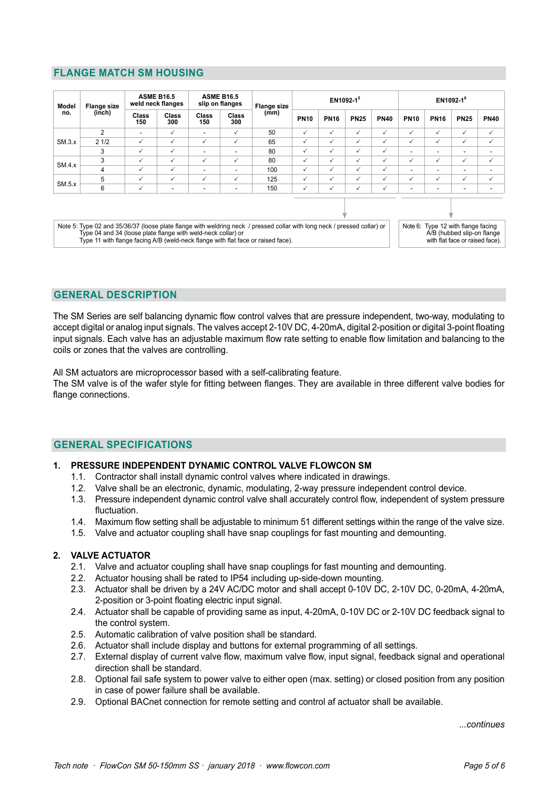# **FLANGE MATCH SM HOUSING**

| Model  | <b>Flange size</b>                                                                                                                                                                                                                                                           | <b>ASME B16.5</b><br>weld neck flanges |              | <b>ASME B16.5</b><br>slip on flanges |                     | <b>Flange size</b> |              |             | EN1092-15    |             | EN1092-1 <sup>6</sup> |              |                                                                                             |                          |  |  |
|--------|------------------------------------------------------------------------------------------------------------------------------------------------------------------------------------------------------------------------------------------------------------------------------|----------------------------------------|--------------|--------------------------------------|---------------------|--------------------|--------------|-------------|--------------|-------------|-----------------------|--------------|---------------------------------------------------------------------------------------------|--------------------------|--|--|
| no.    | (inch)                                                                                                                                                                                                                                                                       | Class<br>150                           | Class<br>300 | Class<br>150                         | <b>Class</b><br>300 | (mm)               | <b>PN10</b>  | <b>PN16</b> | <b>PN25</b>  | <b>PN40</b> | <b>PN10</b>           | <b>PN16</b>  | <b>PN25</b>                                                                                 | <b>PN40</b>              |  |  |
|        | 2                                                                                                                                                                                                                                                                            | $\overline{\phantom{a}}$               | ✓            | ۰                                    | ✓                   | 50                 | $\checkmark$ | ✓           | $\checkmark$ | ✓           | ✓                     | $\checkmark$ | ✓                                                                                           | ✓                        |  |  |
| SM.3.x | 21/2                                                                                                                                                                                                                                                                         | ✓                                      | ✓            | ✓                                    | ✓                   | 65                 | $\checkmark$ | ✓           | $\checkmark$ | ✓           | ✓                     | $\checkmark$ | ✓                                                                                           | $\checkmark$             |  |  |
|        | 3                                                                                                                                                                                                                                                                            | ✓                                      | ✓            |                                      | ۰                   | 80                 | $\checkmark$ | ✓           | $\checkmark$ | ✓           |                       | ۰            | -                                                                                           | ۰                        |  |  |
|        | 3                                                                                                                                                                                                                                                                            | $\checkmark$                           | ✓            | ✓                                    | ✓                   | 80                 | $\checkmark$ | ✓           | $\checkmark$ | ✓           | ✓                     | ✓            | ✓                                                                                           | ✓                        |  |  |
| SM.4.x | 4                                                                                                                                                                                                                                                                            | ✓                                      | ✓            | ٠                                    | ٠                   | 100                | $\checkmark$ | ✓           | $\checkmark$ | ✓           |                       | ۰            | $\overline{\phantom{a}}$                                                                    | ۰                        |  |  |
|        | 5                                                                                                                                                                                                                                                                            | ✓                                      | ✓            | ✓                                    | ✓                   | 125                | ✓            | ✓           | $\checkmark$ | ✓           | ✓                     | ✓            | ✓                                                                                           | $\checkmark$             |  |  |
| SM.5.x | 6                                                                                                                                                                                                                                                                            | ✓                                      |              |                                      | ٠                   | 150                | $\checkmark$ | ✓           | $\checkmark$ | ✓           |                       | ۰            | -                                                                                           | $\overline{\phantom{a}}$ |  |  |
|        |                                                                                                                                                                                                                                                                              |                                        |              |                                      |                     |                    |              |             |              |             |                       |              |                                                                                             |                          |  |  |
|        | Note 5: Type 02 and 35/36/37 (loose plate flange with weldring neck / pressed collar with long neck / pressed collar) or<br>Type 04 and 34 (loose plate flange with weld-neck collar) or<br>Type 11 with flange facing A/B (weld-neck flange with flat face or raised face). |                                        |              |                                      |                     |                    |              |             |              |             | Note 6:               |              | Type 12 with flange facing<br>A/B (hubbed slip-on flange<br>with flat face or raised face). |                          |  |  |

## **GENERAL DESCRIPTION**

The SM Series are self balancing dynamic flow control valves that are pressure independent, two-way, modulating to accept digital or analog input signals. The valves accept 2-10V DC, 4-20mA, digital 2-position or digital 3-point floating input signals. Each valve has an adjustable maximum flow rate setting to enable flow limitation and balancing to the coils or zones that the valves are controlling.

All SM actuators are microprocessor based with a self-calibrating feature.

The SM valve is of the wafer style for fitting between flanges. They are available in three different valve bodies for flange connections.

#### **GENERAL SPECIFICATIONS**

#### **1. PRESSURE INDEPENDENT DYNAMIC CONTROL VALVE FLOWCON SM**

- 1.1. Contractor shall install dynamic control valves where indicated in drawings.
- 1.2. Valve shall be an electronic, dynamic, modulating, 2-way pressure independent control device.
- 1.3. Pressure independent dynamic control valve shall accurately control flow, independent of system pressure fluctuation.
- 1.4. Maximum flow setting shall be adjustable to minimum 51 different settings within the range of the valve size.
- 1.5. Valve and actuator coupling shall have snap couplings for fast mounting and demounting.

#### **2. VALVE ACTUATOR**

- 2.1. Valve and actuator coupling shall have snap couplings for fast mounting and demounting.
- 2.2. Actuator housing shall be rated to IP54 including up-side-down mounting.
- 2.3. Actuator shall be driven by a 24V AC/DC motor and shall accept 0-10V DC, 2-10V DC, 0-20mA, 4-20mA, 2-position or 3-point floating electric input signal.
- 2.4. Actuator shall be capable of providing same as input, 4-20mA, 0-10V DC or 2-10V DC feedback signal to the control system.
- 2.5. Automatic calibration of valve position shall be standard.
- 2.6. Actuator shall include display and buttons for external programming of all settings.
- 2.7. External display of current valve flow, maximum valve flow, input signal, feedback signal and operational direction shall be standard.
- 2.8. Optional fail safe system to power valve to either open (max. setting) or closed position from any position in case of power failure shall be available.
- 2.9. Optional BACnet connection for remote setting and control af actuator shall be available.

*...continues*